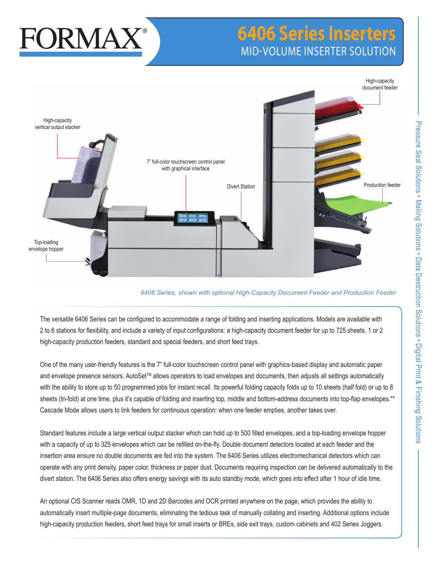# FORMAX

# **6406 Series Inserters** MID-VOLUME INSERTER SOLUTION



## *6406 Series, shown with optional High-Capacity Document Feeder and Production Feeder*

The versatile 6406 Series can be configured to accommodate a range of folding and inserting applications. Models are available with 2 to 6 stations for flexibility, and include a variety of input configurations: a high-capacity document feeder for up to 725 sheets, 1 or 2 high-capacity production feeders, standard and special feeders, and short feed trays.

One of the many user-friendly features is the 7" full-color touchscreen control panel with graphics-based display and automatic paper and envelope presence sensors. AutoSet<sup>™</sup> allows operators to load envelopes and documents, then adjusts all settings automatically with the ability to store up to 50 programmed jobs for instant recall. Its powerful folding capacity folds up to 10 sheets (half fold) or up to 8 sheets (tri-fold) at one time, plus it's capable of folding and inserting top, middle and bottom-address documents into top-flap envelopes.\*\* Cascade Mode allows users to link feeders for continuous operation: when one feeder empties, another takes over.

Standard features include a large vertical output stacker which can hold up to 500 filled envelopes, and a top-loading envelope hopper with a capacity of up to 325 envelopes which can be refilled on-the-fly. Double document detectors located at each feeder and the insertion area ensure no double documents are fed into the system. The 6406 Series utilizes electromechanical detectors which can operate with any print density, paper color, thickness or paper dust. Documents requiring inspection can be delivered automatically to the divert station. The 6406 Series also offers energy savings with its auto standby mode, which goes into effect after 1 hour of idle time.

An optional CIS Scanner reads OMR, 1D and 2D Barcodes and OCR printed anywhere on the page, which provides the ability to automatically insert multiple-page documents, eliminating the tedious task of manually collating and inserting. Additional options include high-capacity production feeders, short feed trays for small inserts or BREs, side exit trays, custom cabinets and 402 Series Joggers.